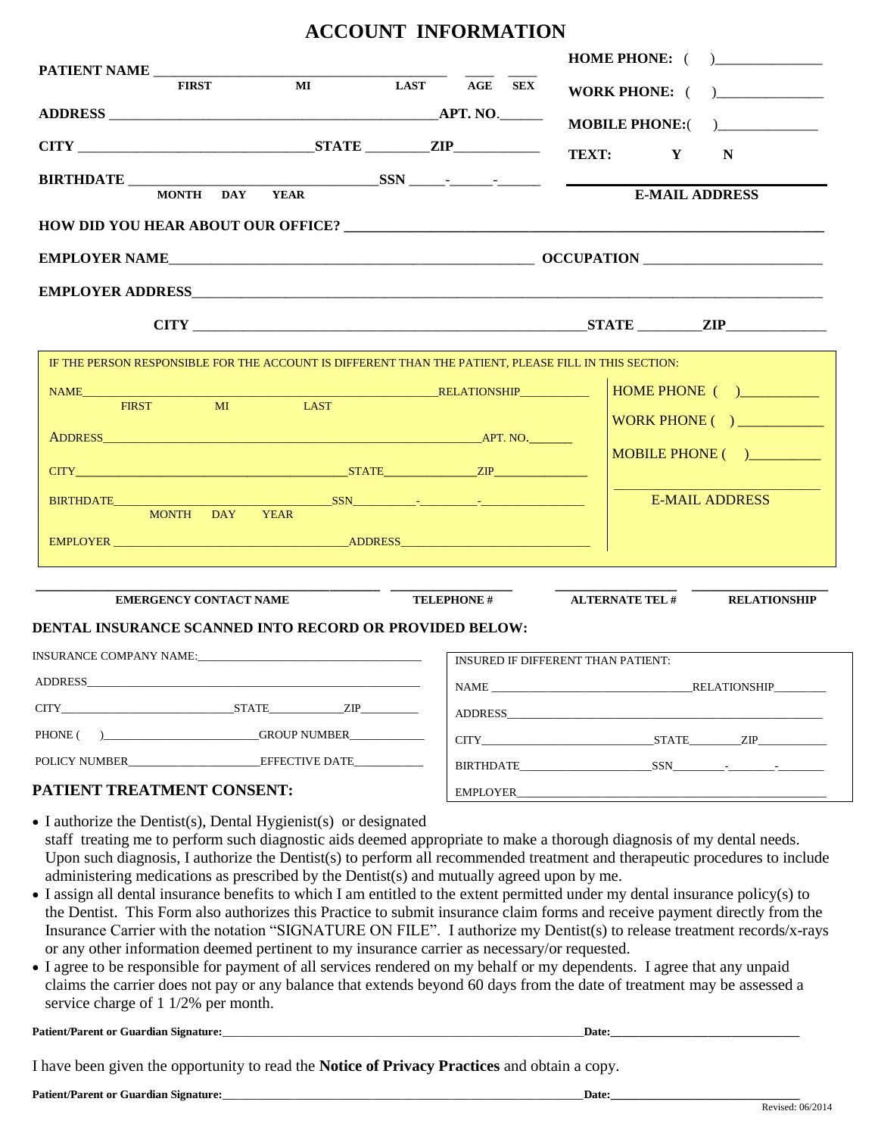|                                                                                                       |             | AUUUNI INFUNNATIUN                                                                                                                                                                                                                                                                                                                                                                                                                                                              |                                    |
|-------------------------------------------------------------------------------------------------------|-------------|---------------------------------------------------------------------------------------------------------------------------------------------------------------------------------------------------------------------------------------------------------------------------------------------------------------------------------------------------------------------------------------------------------------------------------------------------------------------------------|------------------------------------|
| PATIENT NAME                                                                                          |             |                                                                                                                                                                                                                                                                                                                                                                                                                                                                                 |                                    |
| <b>FIRST</b>                                                                                          |             | MI LAST AGE SEX                                                                                                                                                                                                                                                                                                                                                                                                                                                                 | WORK PHONE: ( )                    |
|                                                                                                       |             |                                                                                                                                                                                                                                                                                                                                                                                                                                                                                 |                                    |
|                                                                                                       |             |                                                                                                                                                                                                                                                                                                                                                                                                                                                                                 | TEXT: Y<br>N                       |
| <b>BIRTHDATE</b>                                                                                      |             |                                                                                                                                                                                                                                                                                                                                                                                                                                                                                 |                                    |
| <b>MONTH DAY</b>                                                                                      | <b>YEAR</b> |                                                                                                                                                                                                                                                                                                                                                                                                                                                                                 | <b>E-MAIL ADDRESS</b>              |
|                                                                                                       |             |                                                                                                                                                                                                                                                                                                                                                                                                                                                                                 |                                    |
|                                                                                                       |             |                                                                                                                                                                                                                                                                                                                                                                                                                                                                                 |                                    |
|                                                                                                       |             |                                                                                                                                                                                                                                                                                                                                                                                                                                                                                 |                                    |
|                                                                                                       |             |                                                                                                                                                                                                                                                                                                                                                                                                                                                                                 |                                    |
|                                                                                                       |             |                                                                                                                                                                                                                                                                                                                                                                                                                                                                                 |                                    |
| IF THE PERSON RESPONSIBLE FOR THE ACCOUNT IS DIFFERENT THAN THE PATIENT, PLEASE FILL IN THIS SECTION: |             |                                                                                                                                                                                                                                                                                                                                                                                                                                                                                 |                                    |
| M <sub>I</sub><br><b>FIRST</b>                                                                        | LAST        |                                                                                                                                                                                                                                                                                                                                                                                                                                                                                 | HOME PHONE ()                      |
|                                                                                                       |             |                                                                                                                                                                                                                                                                                                                                                                                                                                                                                 | WORK PHONE ( ) ___________         |
|                                                                                                       |             |                                                                                                                                                                                                                                                                                                                                                                                                                                                                                 |                                    |
|                                                                                                       |             |                                                                                                                                                                                                                                                                                                                                                                                                                                                                                 | MOBILE PHONE ()                    |
|                                                                                                       |             |                                                                                                                                                                                                                                                                                                                                                                                                                                                                                 | <b>E-MAIL ADDRESS</b>              |
| MONTH DAY YEAR                                                                                        |             |                                                                                                                                                                                                                                                                                                                                                                                                                                                                                 |                                    |
|                                                                                                       |             |                                                                                                                                                                                                                                                                                                                                                                                                                                                                                 |                                    |
|                                                                                                       |             |                                                                                                                                                                                                                                                                                                                                                                                                                                                                                 |                                    |
| <b>EMERGENCY CONTACT NAME</b>                                                                         |             | $\overline{\phantom{a}}$ $\overline{\phantom{a}}$ $\overline{\phantom{a}}$ $\overline{\phantom{a}}$ $\overline{\phantom{a}}$ $\overline{\phantom{a}}$ $\overline{\phantom{a}}$ $\overline{\phantom{a}}$ $\overline{\phantom{a}}$ $\overline{\phantom{a}}$ $\overline{\phantom{a}}$ $\overline{\phantom{a}}$ $\overline{\phantom{a}}$ $\overline{\phantom{a}}$ $\overline{\phantom{a}}$ $\overline{\phantom{a}}$ $\overline{\phantom{a}}$ $\overline{\phantom{a}}$ $\overline{\$ | ALTERNATE TEL # RELATIONSHIP       |
| DENTAL INSURANCE SCANNED INTO RECORD OR PROVIDED BELOW:                                               |             |                                                                                                                                                                                                                                                                                                                                                                                                                                                                                 |                                    |
|                                                                                                       |             |                                                                                                                                                                                                                                                                                                                                                                                                                                                                                 | INSURED IF DIFFERENT THAN PATIENT: |
|                                                                                                       |             |                                                                                                                                                                                                                                                                                                                                                                                                                                                                                 |                                    |
| CITY STATE ZIP                                                                                        |             |                                                                                                                                                                                                                                                                                                                                                                                                                                                                                 | NAME RELATIONSHIP                  |
|                                                                                                       |             |                                                                                                                                                                                                                                                                                                                                                                                                                                                                                 |                                    |
|                                                                                                       |             |                                                                                                                                                                                                                                                                                                                                                                                                                                                                                 |                                    |
| POLICY NUMBER EFFECTIVE DATE                                                                          |             |                                                                                                                                                                                                                                                                                                                                                                                                                                                                                 |                                    |

**ACCOUNT INFORMATION**

## **PATIENT TREATMENT CONSENT:**

• I authorize the Dentist(s), Dental Hygienist(s) or designated staff treating me to perform such diagnostic aids deemed appropriate to make a thorough diagnosis of my dental needs. Upon such diagnosis, I authorize the Dentist(s) to perform all recommended treatment and therapeutic procedures to include administering medications as prescribed by the Dentist(s) and mutually agreed upon by me.

EMPLOYER

- I assign all dental insurance benefits to which I am entitled to the extent permitted under my dental insurance policy(s) to the Dentist. This Form also authorizes this Practice to submit insurance claim forms and receive payment directly from the Insurance Carrier with the notation "SIGNATURE ON FILE". I authorize my Dentist(s) to release treatment records/x-rays or any other information deemed pertinent to my insurance carrier as necessary/or requested.
- I agree to be responsible for payment of all services rendered on my behalf or my dependents. I agree that any unpaid claims the carrier does not pay or any balance that extends beyond 60 days from the date of treatment may be assessed a service charge of 1 1/2% per month.

| $\sim$<br>Patient/Parent or<br>Signature:<br>Guardian | <b>Date:</b> |
|-------------------------------------------------------|--------------|
|-------------------------------------------------------|--------------|

I have been given the opportunity to read the **Notice of Privacy Practices** and obtain a copy.

**Patient/Parent or Guardian Signature:**\_\_\_\_\_\_\_\_\_\_\_\_\_\_\_\_\_\_\_\_\_\_\_\_\_\_\_\_\_\_\_\_\_\_\_\_\_\_\_\_\_\_\_\_\_\_\_\_\_\_\_\_\_\_\_\_\_\_\_\_\_\_\_**Date:\_\_\_\_\_\_\_\_\_\_\_\_\_\_\_\_\_\_\_\_\_\_\_\_\_\_\_\_\_\_\_\_\_**